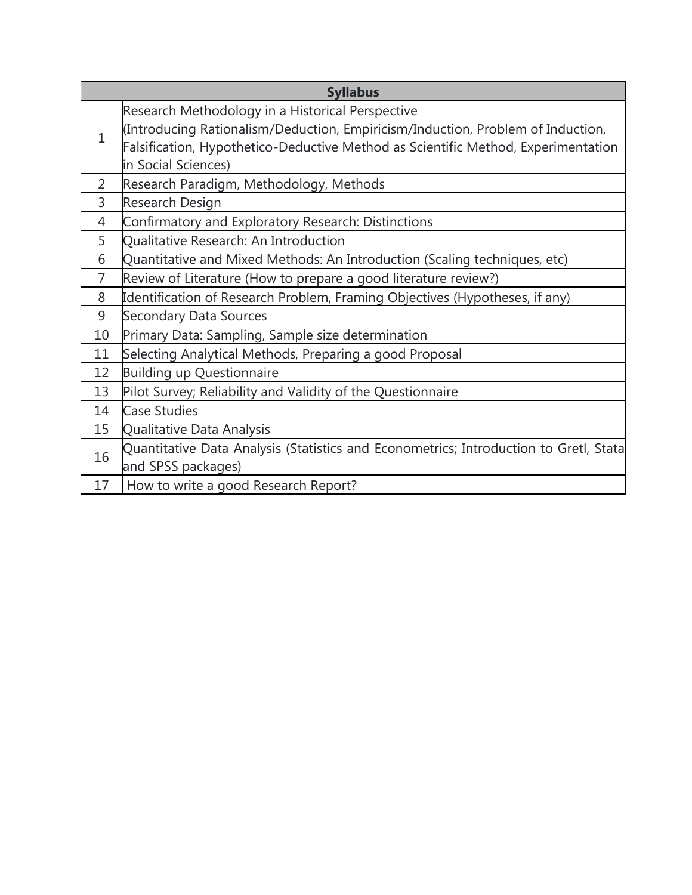|                | <b>Syllabus</b>                                                                                                                                                      |
|----------------|----------------------------------------------------------------------------------------------------------------------------------------------------------------------|
|                | Research Methodology in a Historical Perspective                                                                                                                     |
| $\mathbf{1}$   | (Introducing Rationalism/Deduction, Empiricism/Induction, Problem of Induction,<br>Falsification, Hypothetico-Deductive Method as Scientific Method, Experimentation |
|                | in Social Sciences)                                                                                                                                                  |
| $\overline{2}$ | Research Paradigm, Methodology, Methods                                                                                                                              |
| 3              | Research Design                                                                                                                                                      |
| 4              | Confirmatory and Exploratory Research: Distinctions                                                                                                                  |
| 5              | Qualitative Research: An Introduction                                                                                                                                |
| 6              | Quantitative and Mixed Methods: An Introduction (Scaling techniques, etc)                                                                                            |
| $\overline{7}$ | Review of Literature (How to prepare a good literature review?)                                                                                                      |
| 8              | Identification of Research Problem, Framing Objectives (Hypotheses, if any)                                                                                          |
| 9              | <b>Secondary Data Sources</b>                                                                                                                                        |
| 10             | Primary Data: Sampling, Sample size determination                                                                                                                    |
| 11             | Selecting Analytical Methods, Preparing a good Proposal                                                                                                              |
| 12             | <b>Building up Questionnaire</b>                                                                                                                                     |
| 13             | Pilot Survey; Reliability and Validity of the Questionnaire                                                                                                          |
| 14             | <b>Case Studies</b>                                                                                                                                                  |
| 15             | Qualitative Data Analysis                                                                                                                                            |
| 16             | Quantitative Data Analysis (Statistics and Econometrics; Introduction to Gretl, Stata                                                                                |
|                | and SPSS packages)                                                                                                                                                   |
| 17             | How to write a good Research Report?                                                                                                                                 |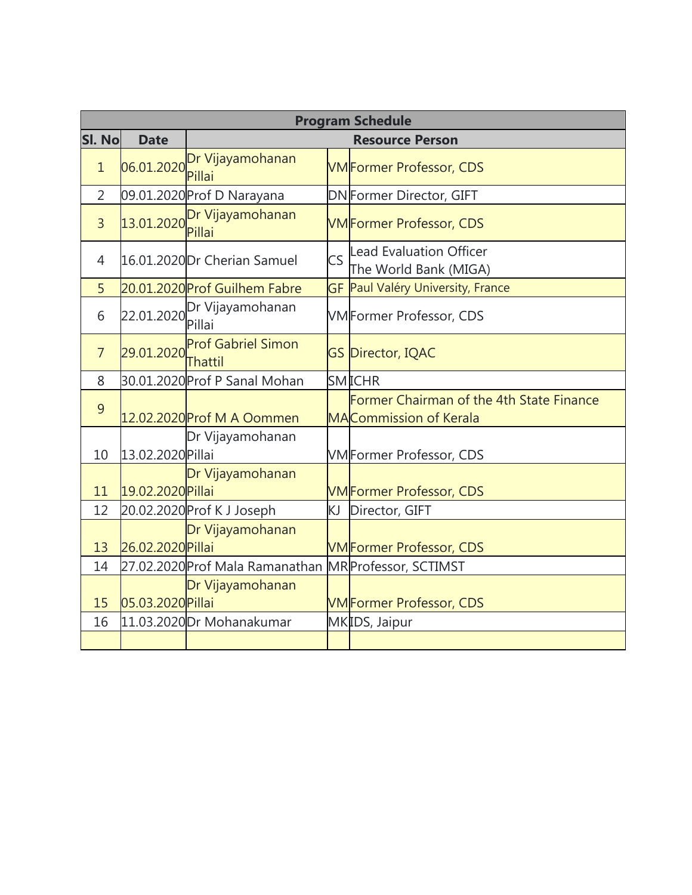|                | <b>Program Schedule</b> |                                       |           |                                                                           |  |  |  |
|----------------|-------------------------|---------------------------------------|-----------|---------------------------------------------------------------------------|--|--|--|
| SI. No         | <b>Date</b>             | <b>Resource Person</b>                |           |                                                                           |  |  |  |
| $\mathbf{1}$   |                         | 06.01.2020 Dr Vijayamohanan<br>Pillai |           | <b>VMFormer Professor, CDS</b>                                            |  |  |  |
| 2              |                         | 09.01.2020 Prof D Narayana            |           | <b>DN</b> Former Director, GIFT                                           |  |  |  |
| $\overline{3}$ |                         | 13.01.2020 Dr Vijayamohanan<br>Pillai |           | <b>VM</b> Former Professor, CDS                                           |  |  |  |
| 4              |                         | 16.01.2020 Dr Cherian Samuel          | <b>CS</b> | Lead Evaluation Officer<br>The World Bank (MIGA)                          |  |  |  |
| 5              |                         | 20.01.2020 Prof Guilhem Fabre         |           | GF Paul Valéry University, France                                         |  |  |  |
| 6              |                         | 22.01.2020 Dr Vijayamohanan<br>Pillai |           | <b>VM</b> Former Professor, CDS                                           |  |  |  |
| $\overline{7}$ | 29.01.2020              | <b>Prof Gabriel Simon</b><br>Thattil  |           | <b>GS Director, IQAC</b>                                                  |  |  |  |
| 8              |                         | 30.01.2020 Prof P Sanal Mohan         |           | <b>SMICHR</b>                                                             |  |  |  |
| 9              |                         | 12.02.2020 Prof M A Oommen            |           | Former Chairman of the 4th State Finance<br><b>MACommission of Kerala</b> |  |  |  |
| 10             | 13.02.2020 Pillai       | Dr Vijayamohanan                      |           | <b>VM</b> Former Professor, CDS                                           |  |  |  |
| 11             | 19.02.2020 Pillai       | Dr Vijayamohanan                      |           | <b>VMFormer Professor, CDS</b>                                            |  |  |  |
| 12             |                         | 20.02.2020 Prof K J Joseph            | KJ.       | Director, GIFT                                                            |  |  |  |
| 13             | 26.02.2020 Pillai       | Dr Vijayamohanan                      |           | <b>VMFormer Professor, CDS</b>                                            |  |  |  |
| 14             |                         | 27.02.2020 Prof Mala Ramanathan       |           | MR Professor, SCTIMST                                                     |  |  |  |
| 15             | 05.03.2020 Pillai       | Dr Vijayamohanan                      |           | <b>VM</b> Former Professor, CDS                                           |  |  |  |
| 16             |                         | 11.03.2020 Dr Mohanakumar             |           | MKIDS, Jaipur                                                             |  |  |  |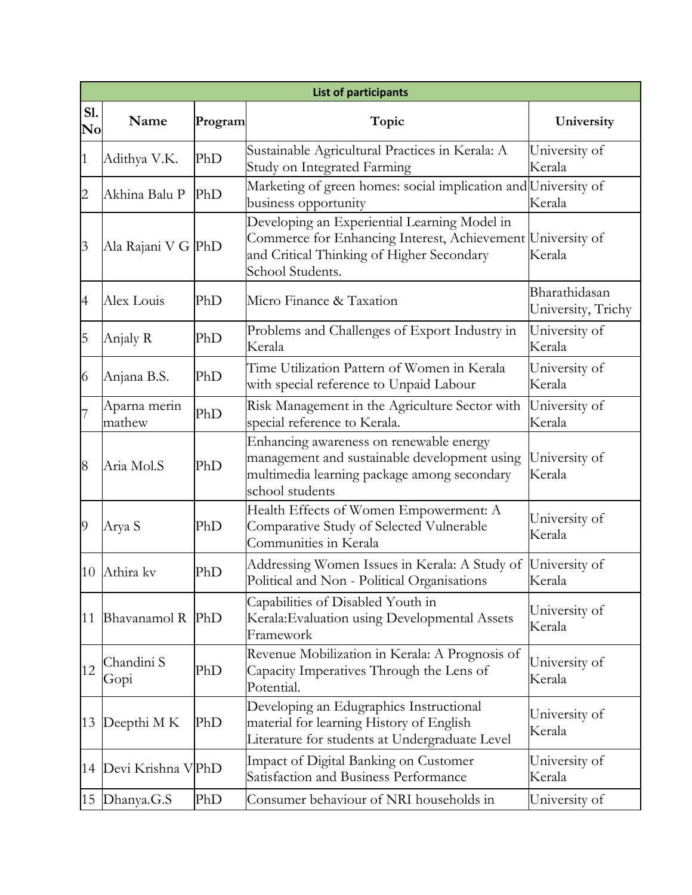|                                      | <b>List of participants</b> |         |                                                                                                                                                               |                                     |  |  |
|--------------------------------------|-----------------------------|---------|---------------------------------------------------------------------------------------------------------------------------------------------------------------|-------------------------------------|--|--|
| <b>S1.</b><br>$\mathbf{N}\mathbf{o}$ | Name                        | Program | Topic                                                                                                                                                         | University                          |  |  |
| 1                                    | Adithya V.K.                | PhD     | Sustainable Agricultural Practices in Kerala: A<br>Study on Integrated Farming                                                                                | University of<br>Kerala             |  |  |
| $\overline{c}$                       | Akhina Balu P               | PhD     | Marketing of green homes: social implication and University of<br>business opportunity                                                                        | Kerala                              |  |  |
| $\overline{3}$                       | Ala Rajani V G PhD          |         | Developing an Experiential Learning Model in<br>Commerce for Enhancing Interest, Achievement<br>and Critical Thinking of Higher Secondary<br>School Students. | University of<br>Kerala             |  |  |
| $\overline{4}$                       | Alex Louis                  | PhD     | Micro Finance & Taxation                                                                                                                                      | Bharathidasan<br>University, Trichy |  |  |
| 5                                    | Anjaly R                    | PhD     | Problems and Challenges of Export Industry in<br>Kerala                                                                                                       | University of<br>Kerala             |  |  |
| 6                                    | Anjana B.S.                 | PhD     | Time Utilization Pattern of Women in Kerala<br>with special reference to Unpaid Labour                                                                        | University of<br>Kerala             |  |  |
| $\overline{7}$                       | Aparna merin<br>mathew      | PhD     | Risk Management in the Agriculture Sector with<br>special reference to Kerala.                                                                                | University of<br>Kerala             |  |  |
| 8                                    | Aria Mol.S                  | PhD     | Enhancing awareness on renewable energy<br>management and sustainable development using<br>multimedia learning package among secondary<br>school students     | University of<br>Kerala             |  |  |
| $\overline{9}$                       | Arya S                      | PhD     | Health Effects of Women Empowerment: A<br>Comparative Study of Selected Vulnerable<br>Communities in Kerala                                                   | University of<br>Kerala             |  |  |
| 10                                   | Athira kv                   | PhD     | Addressing Women Issues in Kerala: A Study of<br>Political and Non - Political Organisations                                                                  | University of<br>Kerala             |  |  |
| 11                                   | Bhavanamol R                | PhD     | Capabilities of Disabled Youth in<br>Kerala: Evaluation using Developmental Assets<br>Framework                                                               | University of<br>Kerala             |  |  |
| 12                                   | Chandini S<br>Gopi          | PhD     | Revenue Mobilization in Kerala: A Prognosis of<br>Capacity Imperatives Through the Lens of<br>Potential.                                                      | University of<br>Kerala             |  |  |
| 13                                   | Deepthi M K                 | PhD     | Developing an Edugraphics Instructional<br>material for learning History of English<br>Literature for students at Undergraduate Level                         | University of<br>Kerala             |  |  |
| 14                                   | Devi Krishna V PhD          |         | Impact of Digital Banking on Customer<br>Satisfaction and Business Performance                                                                                | University of<br>Kerala             |  |  |
| 15                                   | Dhanya.G.S                  | PhD     | Consumer behaviour of NRI households in                                                                                                                       | University of                       |  |  |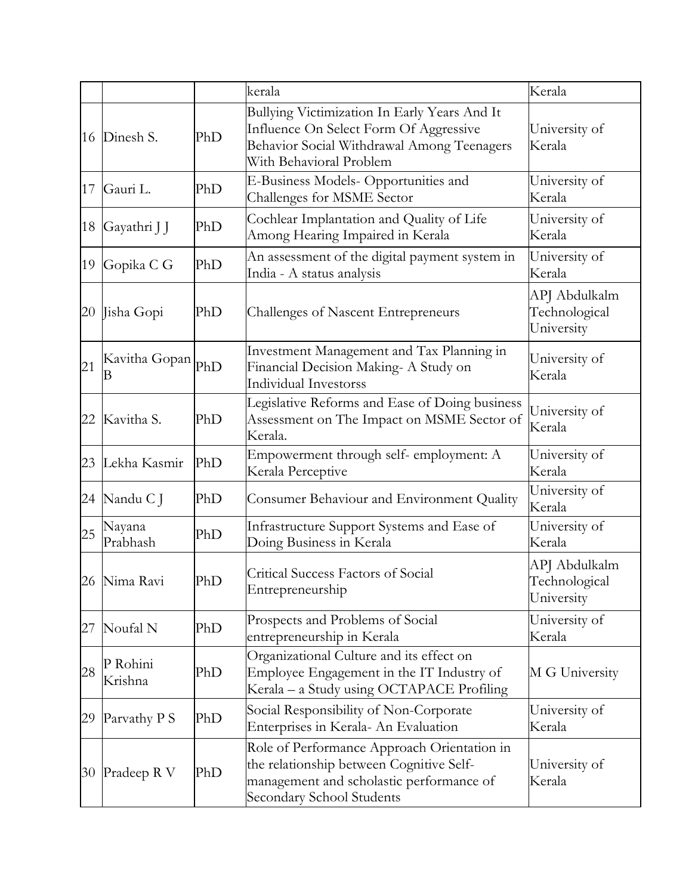|    |                     |     | kerala                                                                                                                                                           | Kerala                                       |
|----|---------------------|-----|------------------------------------------------------------------------------------------------------------------------------------------------------------------|----------------------------------------------|
| 16 | Dinesh S.           | PhD | Bullying Victimization In Early Years And It<br>Influence On Select Form Of Aggressive<br>Behavior Social Withdrawal Among Teenagers<br>With Behavioral Problem  | University of<br>Kerala                      |
| 17 | Gauri L.            | PhD | E-Business Models- Opportunities and<br>Challenges for MSME Sector                                                                                               | University of<br>Kerala                      |
| 18 | Gayathri J J        | PhD | Cochlear Implantation and Quality of Life<br>Among Hearing Impaired in Kerala                                                                                    | University of<br>Kerala                      |
| 19 | Gopika C G          | PhD | An assessment of the digital payment system in<br>India - A status analysis                                                                                      | University of<br>Kerala                      |
| 20 | Jisha Gopi          | PhD | <b>Challenges of Nascent Entrepreneurs</b>                                                                                                                       | APJ Abdulkalm<br>Technological<br>University |
| 21 | Kavitha Gopan<br>В  | PhD | Investment Management and Tax Planning in<br>Financial Decision Making- A Study on<br><b>Individual Investorss</b>                                               | University of<br>Kerala                      |
| 22 | Kavitha S.          | PhD | Legislative Reforms and Ease of Doing business<br>Assessment on The Impact on MSME Sector of<br>Kerala.                                                          | University of<br>Kerala                      |
| 23 | Lekha Kasmir        | PhD | Empowerment through self- employment: A<br>Kerala Perceptive                                                                                                     | University of<br>Kerala                      |
| 24 | Nandu C J           | PhD | Consumer Behaviour and Environment Quality                                                                                                                       | University of<br>Kerala                      |
| 25 | Nayana<br>Prabhash  | PhD | Infrastructure Support Systems and Ease of<br>Doing Business in Kerala                                                                                           | University of<br>Kerala                      |
|    | 26 Nima Ravi        | PhD | Critical Success Factors of Social<br>Entrepreneurship                                                                                                           | APJ Abdulkalm<br>Technological<br>University |
| 27 | Noufal N            | PhD | Prospects and Problems of Social<br>entrepreneurship in Kerala                                                                                                   | University of<br>Kerala                      |
| 28 | P Rohini<br>Krishna | PhD | Organizational Culture and its effect on<br>Employee Engagement in the IT Industry of<br>Kerala - a Study using OCTAPACE Profiling                               | M G University                               |
| 29 | Parvathy P S        | PhD | Social Responsibility of Non-Corporate<br>Enterprises in Kerala- An Evaluation                                                                                   | University of<br>Kerala                      |
| 30 | Pradeep R V         | PhD | Role of Performance Approach Orientation in<br>the relationship between Cognitive Self-<br>management and scholastic performance of<br>Secondary School Students | University of<br>Kerala                      |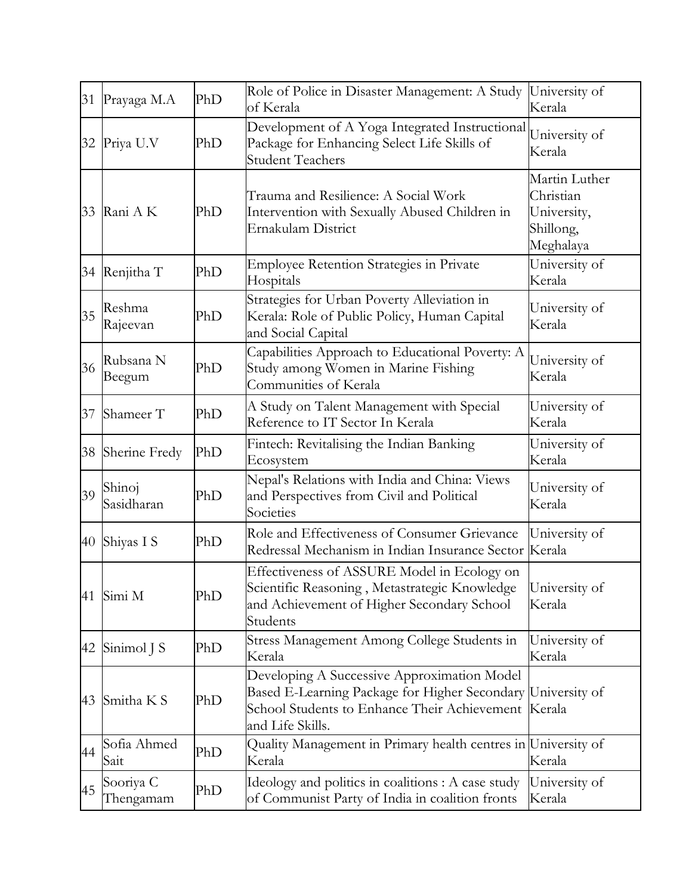|    | 31 Prayaga M.A         | PhD | Role of Police in Disaster Management: A Study<br>of Kerala                                                                                                            | University of<br>Kerala                                             |
|----|------------------------|-----|------------------------------------------------------------------------------------------------------------------------------------------------------------------------|---------------------------------------------------------------------|
|    | 32 Priya U.V           | PhD | Development of A Yoga Integrated Instructional<br>Package for Enhancing Select Life Skills of<br><b>Student Teachers</b>                                               | University of<br>Kerala                                             |
|    | 33 Rani A K            | PhD | Trauma and Resilience: A Social Work<br>Intervention with Sexually Abused Children in<br>Ernakulam District                                                            | Martin Luther<br>Christian<br>University,<br>Shillong,<br>Meghalaya |
|    | 34 Renjitha T          | PhD | <b>Employee Retention Strategies in Private</b><br>Hospitals                                                                                                           | University of<br>Kerala                                             |
| 35 | Reshma<br>Rajeevan     | PhD | Strategies for Urban Poverty Alleviation in<br>Kerala: Role of Public Policy, Human Capital<br>and Social Capital                                                      | University of<br>Kerala                                             |
| 36 | Rubsana N<br>Beegum    | PhD | Capabilities Approach to Educational Poverty: A<br>Study among Women in Marine Fishing<br>Communities of Kerala                                                        | University of<br>Kerala                                             |
| 37 | Shameer T              | PhD | A Study on Talent Management with Special<br>Reference to IT Sector In Kerala                                                                                          | University of<br>Kerala                                             |
| 38 | Sherine Fredy          | PhD | Fintech: Revitalising the Indian Banking<br>Ecosystem                                                                                                                  | University of<br>Kerala                                             |
| 39 | Shinoj<br>Sasidharan   | PhD | Nepal's Relations with India and China: Views<br>and Perspectives from Civil and Political<br>Societies                                                                | University of<br>Kerala                                             |
| 40 | Shiyas I S             | PhD | Role and Effectiveness of Consumer Grievance<br>Redressal Mechanism in Indian Insurance Sector                                                                         | University of<br>Kerala                                             |
|    | 41 Simi M              | PhD | Effectiveness of ASSURE Model in Ecology on<br>Scientific Reasoning, Metastrategic Knowledge   University of<br>and Achievement of Higher Secondary School<br>Students | Kerala                                                              |
| 42 | Sinimol J S            | PhD | Stress Management Among College Students in<br>Kerala                                                                                                                  | University of<br>Kerala                                             |
| 43 | Smitha K S             | PhD | Developing A Successive Approximation Model<br>Based E-Learning Package for Higher Secondary<br>School Students to Enhance Their Achievement<br>and Life Skills.       | University of<br>Kerala                                             |
| 44 | Sofia Ahmed<br>Sait    | PhD | Quality Management in Primary health centres in University of<br>Kerala                                                                                                | Kerala                                                              |
| 45 | Sooriya C<br>Thengamam | PhD | Ideology and politics in coalitions : A case study<br>of Communist Party of India in coalition fronts                                                                  | University of<br>Kerala                                             |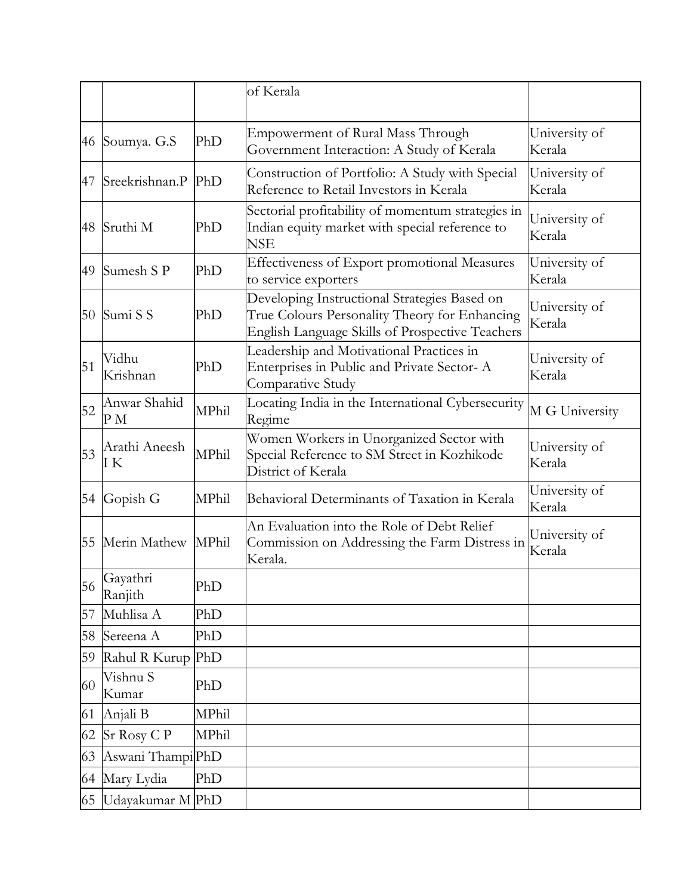|    |                              |       | of Kerala                                                                                                                                        |                         |
|----|------------------------------|-------|--------------------------------------------------------------------------------------------------------------------------------------------------|-------------------------|
| 46 | Soumya. G.S                  | PhD   | <b>Empowerment of Rural Mass Through</b><br>Government Interaction: A Study of Kerala                                                            | University of<br>Kerala |
| 47 | Sreekrishnan.P               | PhD   | Construction of Portfolio: A Study with Special<br>Reference to Retail Investors in Kerala                                                       | University of<br>Kerala |
| 48 | Sruthi M                     | PhD   | Sectorial profitability of momentum strategies in<br>Indian equity market with special reference to<br>NSE                                       | University of<br>Kerala |
| 49 | Sumesh S P                   | PhD   | Effectiveness of Export promotional Measures<br>to service exporters                                                                             | University of<br>Kerala |
| 50 | Sumi S S                     | PhD   | Developing Instructional Strategies Based on<br>True Colours Personality Theory for Enhancing<br>English Language Skills of Prospective Teachers | University of<br>Kerala |
| 51 | Vidhu<br>Krishnan            | PhD   | Leadership and Motivational Practices in<br>Enterprises in Public and Private Sector-A<br>Comparative Study                                      | University of<br>Kerala |
| 52 | Anwar Shahid<br>P M          | MPhil | Locating India in the International Cybersecurity<br>Regime                                                                                      | M G University          |
| 53 | Arathi Aneesh<br>ΙK          | MPhil | Women Workers in Unorganized Sector with<br>Special Reference to SM Street in Kozhikode<br>District of Kerala                                    | University of<br>Kerala |
| 54 | Gopish G                     | MPhil | Behavioral Determinants of Taxation in Kerala                                                                                                    | University of<br>Kerala |
| 55 | Merin Mathew                 | MPhil | An Evaluation into the Role of Debt Relief<br>Commission on Addressing the Farm Distress in<br>Kerala.                                           | University of<br>Kerala |
| 56 | Gayathri<br>Ranjith          | PhD   |                                                                                                                                                  |                         |
| 57 | Muhlisa A                    | PhD   |                                                                                                                                                  |                         |
| 58 | Sereena A                    | PhD   |                                                                                                                                                  |                         |
| 59 | Rahul R Kurup PhD            |       |                                                                                                                                                  |                         |
| 60 | Vishnu S<br>Kumar            | PhD   |                                                                                                                                                  |                         |
| 61 | Anjali B                     | MPhil |                                                                                                                                                  |                         |
| 62 | Sr Rosy C P                  | MPhil |                                                                                                                                                  |                         |
| 63 | Aswani Thampi <sup>phD</sup> |       |                                                                                                                                                  |                         |
| 64 | Mary Lydia                   | PhD   |                                                                                                                                                  |                         |
| 65 | Udayakumar M PhD             |       |                                                                                                                                                  |                         |